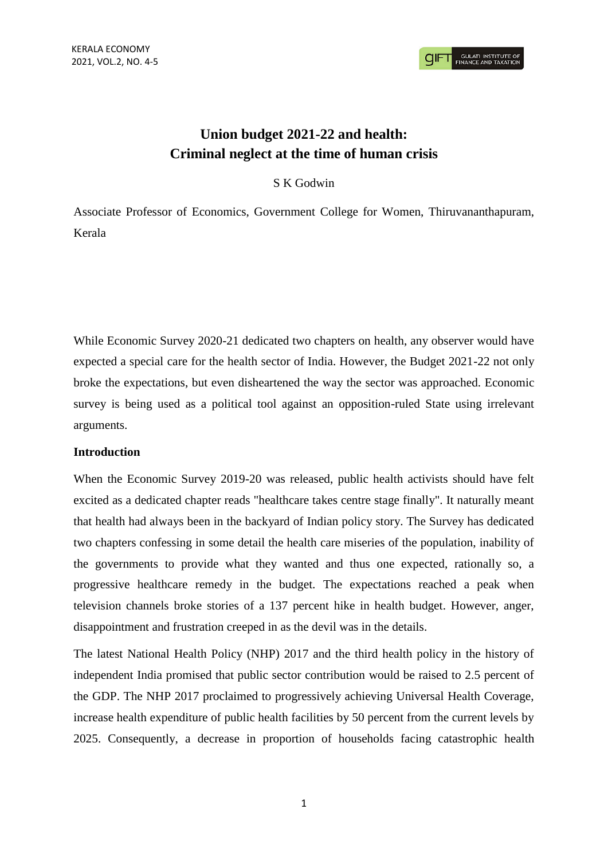**GULATI INSTITUTE O** 

# **Union budget 2021-22 and health: Criminal neglect at the time of human crisis**

## S K Godwin

Associate Professor of Economics, Government College for Women, Thiruvananthapuram, Kerala

While Economic Survey 2020-21 dedicated two chapters on health, any observer would have expected a special care for the health sector of India. However, the Budget 2021-22 not only broke the expectations, but even disheartened the way the sector was approached. Economic survey is being used as a political tool against an opposition-ruled State using irrelevant arguments.

#### **Introduction**

When the Economic Survey 2019-20 was released, public health activists should have felt excited as a dedicated chapter reads "healthcare takes centre stage finally". It naturally meant that health had always been in the backyard of Indian policy story. The Survey has dedicated two chapters confessing in some detail the health care miseries of the population, inability of the governments to provide what they wanted and thus one expected, rationally so, a progressive healthcare remedy in the budget. The expectations reached a peak when television channels broke stories of a 137 percent hike in health budget. However, anger, disappointment and frustration creeped in as the devil was in the details.

The latest National Health Policy (NHP) 2017 and the third health policy in the history of independent India promised that public sector contribution would be raised to 2.5 percent of the GDP. The NHP 2017 proclaimed to progressively achieving Universal Health Coverage, increase health expenditure of public health facilities by 50 percent from the current levels by 2025. Consequently, a decrease in proportion of households facing catastrophic health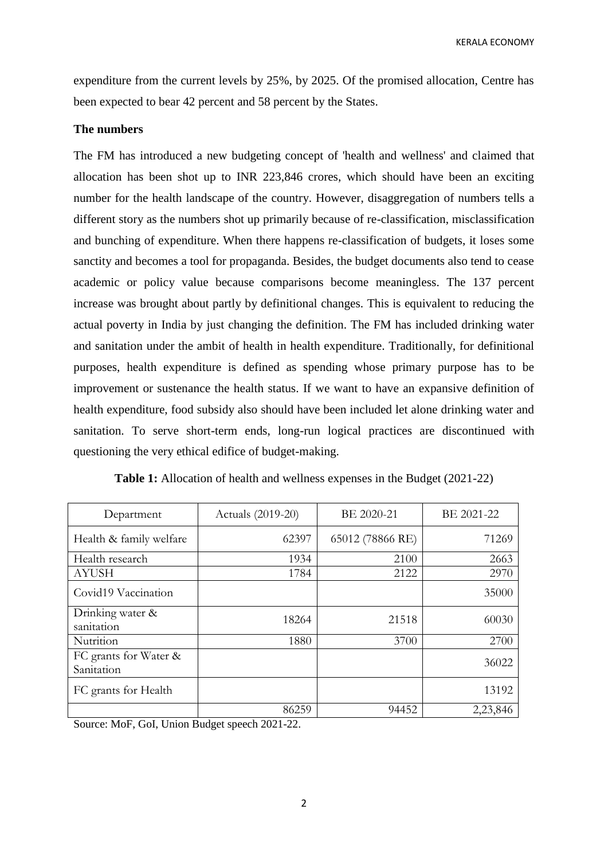KERALA ECONOMY

expenditure from the current levels by 25%, by 2025. Of the promised allocation, Centre has been expected to bear 42 percent and 58 percent by the States.

### **The numbers**

The FM has introduced a new budgeting concept of 'health and wellness' and claimed that allocation has been shot up to INR 223,846 crores, which should have been an exciting number for the health landscape of the country. However, disaggregation of numbers tells a different story as the numbers shot up primarily because of re-classification, misclassification and bunching of expenditure. When there happens re-classification of budgets, it loses some sanctity and becomes a tool for propaganda. Besides, the budget documents also tend to cease academic or policy value because comparisons become meaningless. The 137 percent increase was brought about partly by definitional changes. This is equivalent to reducing the actual poverty in India by just changing the definition. The FM has included drinking water and sanitation under the ambit of health in health expenditure. Traditionally, for definitional purposes, health expenditure is defined as spending whose primary purpose has to be improvement or sustenance the health status. If we want to have an expansive definition of health expenditure, food subsidy also should have been included let alone drinking water and sanitation. To serve short-term ends, long-run logical practices are discontinued with questioning the very ethical edifice of budget-making.

| Department                          | Actuals (2019-20) | BE 2020-21       | BE 2021-22 |
|-------------------------------------|-------------------|------------------|------------|
| Health & family welfare             | 62397             | 65012 (78866 RE) | 71269      |
| Health research                     | 1934              | 2100             | 2663       |
| <b>AYUSH</b>                        | 1784              | 2122             | 2970       |
| Covid19 Vaccination                 |                   |                  | 35000      |
| Drinking water &<br>sanitation      | 18264             | 21518            | 60030      |
| Nutrition                           | 1880              | 3700             | 2700       |
| FC grants for Water &<br>Sanitation |                   |                  | 36022      |
| FC grants for Health                |                   |                  | 13192      |
|                                     | 86259             | 94452            | 2,23,846   |

**Table 1:** Allocation of health and wellness expenses in the Budget (2021-22)

Source: MoF, GoI, Union Budget speech 2021-22.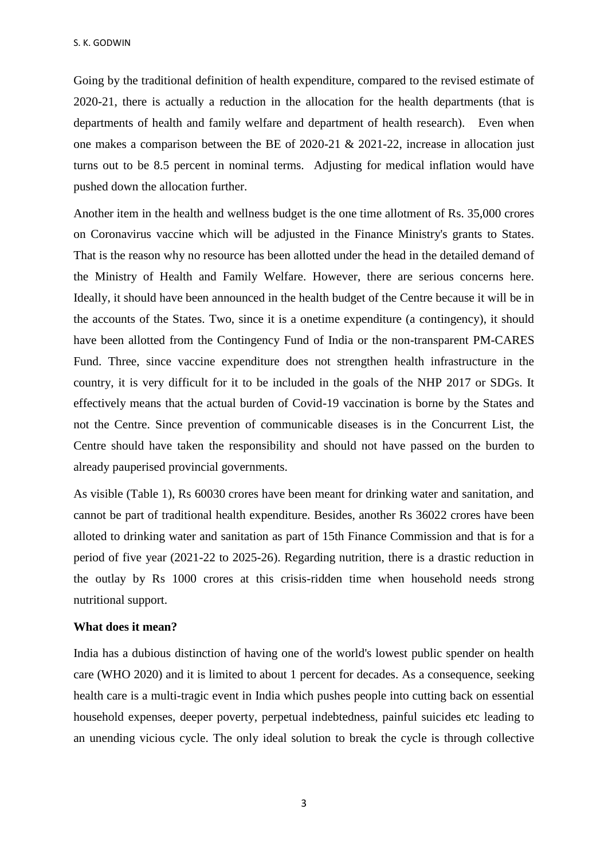Going by the traditional definition of health expenditure, compared to the revised estimate of 2020-21, there is actually a reduction in the allocation for the health departments (that is departments of health and family welfare and department of health research). Even when one makes a comparison between the BE of 2020-21 & 2021-22, increase in allocation just turns out to be 8.5 percent in nominal terms. Adjusting for medical inflation would have pushed down the allocation further.

Another item in the health and wellness budget is the one time allotment of Rs. 35,000 crores on Coronavirus vaccine which will be adjusted in the Finance Ministry's grants to States. That is the reason why no resource has been allotted under the head in the detailed demand of the Ministry of Health and Family Welfare. However, there are serious concerns here. Ideally, it should have been announced in the health budget of the Centre because it will be in the accounts of the States. Two, since it is a onetime expenditure (a contingency), it should have been allotted from the Contingency Fund of India or the non-transparent PM-CARES Fund. Three, since vaccine expenditure does not strengthen health infrastructure in the country, it is very difficult for it to be included in the goals of the NHP 2017 or SDGs. It effectively means that the actual burden of Covid-19 vaccination is borne by the States and not the Centre. Since prevention of communicable diseases is in the Concurrent List, the Centre should have taken the responsibility and should not have passed on the burden to already pauperised provincial governments.

As visible (Table 1), Rs 60030 crores have been meant for drinking water and sanitation, and cannot be part of traditional health expenditure. Besides, another Rs 36022 crores have been alloted to drinking water and sanitation as part of 15th Finance Commission and that is for a period of five year (2021-22 to 2025-26). Regarding nutrition, there is a drastic reduction in the outlay by Rs 1000 crores at this crisis-ridden time when household needs strong nutritional support.

#### **What does it mean?**

India has a dubious distinction of having one of the world's lowest public spender on health care (WHO 2020) and it is limited to about 1 percent for decades. As a consequence, seeking health care is a multi-tragic event in India which pushes people into cutting back on essential household expenses, deeper poverty, perpetual indebtedness, painful suicides etc leading to an unending vicious cycle. The only ideal solution to break the cycle is through collective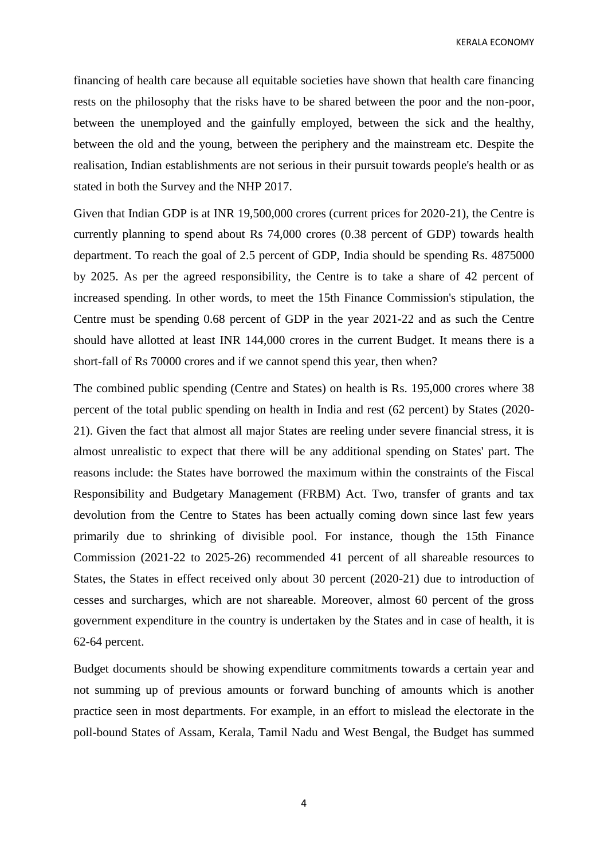KERALA ECONOMY

financing of health care because all equitable societies have shown that health care financing rests on the philosophy that the risks have to be shared between the poor and the non-poor, between the unemployed and the gainfully employed, between the sick and the healthy, between the old and the young, between the periphery and the mainstream etc. Despite the realisation, Indian establishments are not serious in their pursuit towards people's health or as stated in both the Survey and the NHP 2017.

Given that Indian GDP is at INR 19,500,000 crores (current prices for 2020-21), the Centre is currently planning to spend about Rs 74,000 crores (0.38 percent of GDP) towards health department. To reach the goal of 2.5 percent of GDP, India should be spending Rs. 4875000 by 2025. As per the agreed responsibility, the Centre is to take a share of 42 percent of increased spending. In other words, to meet the 15th Finance Commission's stipulation, the Centre must be spending 0.68 percent of GDP in the year 2021-22 and as such the Centre should have allotted at least INR 144,000 crores in the current Budget. It means there is a short-fall of Rs 70000 crores and if we cannot spend this year, then when?

The combined public spending (Centre and States) on health is Rs. 195,000 crores where 38 percent of the total public spending on health in India and rest (62 percent) by States (2020- 21). Given the fact that almost all major States are reeling under severe financial stress, it is almost unrealistic to expect that there will be any additional spending on States' part. The reasons include: the States have borrowed the maximum within the constraints of the Fiscal Responsibility and Budgetary Management (FRBM) Act. Two, transfer of grants and tax devolution from the Centre to States has been actually coming down since last few years primarily due to shrinking of divisible pool. For instance, though the 15th Finance Commission (2021-22 to 2025-26) recommended 41 percent of all shareable resources to States, the States in effect received only about 30 percent (2020-21) due to introduction of cesses and surcharges, which are not shareable. Moreover, almost 60 percent of the gross government expenditure in the country is undertaken by the States and in case of health, it is 62-64 percent.

Budget documents should be showing expenditure commitments towards a certain year and not summing up of previous amounts or forward bunching of amounts which is another practice seen in most departments. For example, in an effort to mislead the electorate in the poll-bound States of Assam, Kerala, Tamil Nadu and West Bengal, the Budget has summed

4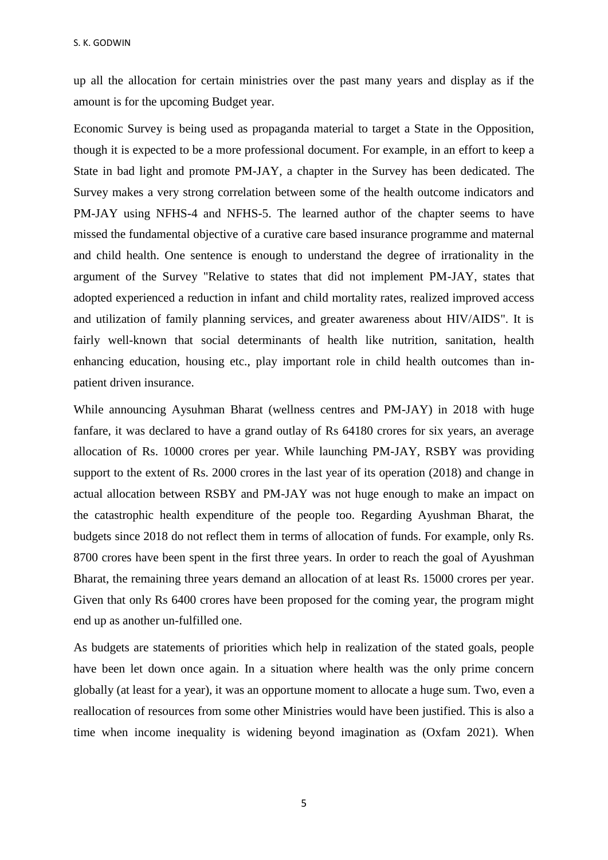up all the allocation for certain ministries over the past many years and display as if the amount is for the upcoming Budget year.

Economic Survey is being used as propaganda material to target a State in the Opposition, though it is expected to be a more professional document. For example, in an effort to keep a State in bad light and promote PM-JAY, a chapter in the Survey has been dedicated. The Survey makes a very strong correlation between some of the health outcome indicators and PM-JAY using NFHS-4 and NFHS-5. The learned author of the chapter seems to have missed the fundamental objective of a curative care based insurance programme and maternal and child health. One sentence is enough to understand the degree of irrationality in the argument of the Survey "Relative to states that did not implement PM-JAY, states that adopted experienced a reduction in infant and child mortality rates, realized improved access and utilization of family planning services, and greater awareness about HIV/AIDS". It is fairly well-known that social determinants of health like nutrition, sanitation, health enhancing education, housing etc., play important role in child health outcomes than inpatient driven insurance.

While announcing Aysuhman Bharat (wellness centres and PM-JAY) in 2018 with huge fanfare, it was declared to have a grand outlay of Rs 64180 crores for six years, an average allocation of Rs. 10000 crores per year. While launching PM-JAY, RSBY was providing support to the extent of Rs. 2000 crores in the last year of its operation (2018) and change in actual allocation between RSBY and PM-JAY was not huge enough to make an impact on the catastrophic health expenditure of the people too. Regarding Ayushman Bharat, the budgets since 2018 do not reflect them in terms of allocation of funds. For example, only Rs. 8700 crores have been spent in the first three years. In order to reach the goal of Ayushman Bharat, the remaining three years demand an allocation of at least Rs. 15000 crores per year. Given that only Rs 6400 crores have been proposed for the coming year, the program might end up as another un-fulfilled one.

As budgets are statements of priorities which help in realization of the stated goals, people have been let down once again. In a situation where health was the only prime concern globally (at least for a year), it was an opportune moment to allocate a huge sum. Two, even a reallocation of resources from some other Ministries would have been justified. This is also a time when income inequality is widening beyond imagination as (Oxfam 2021). When